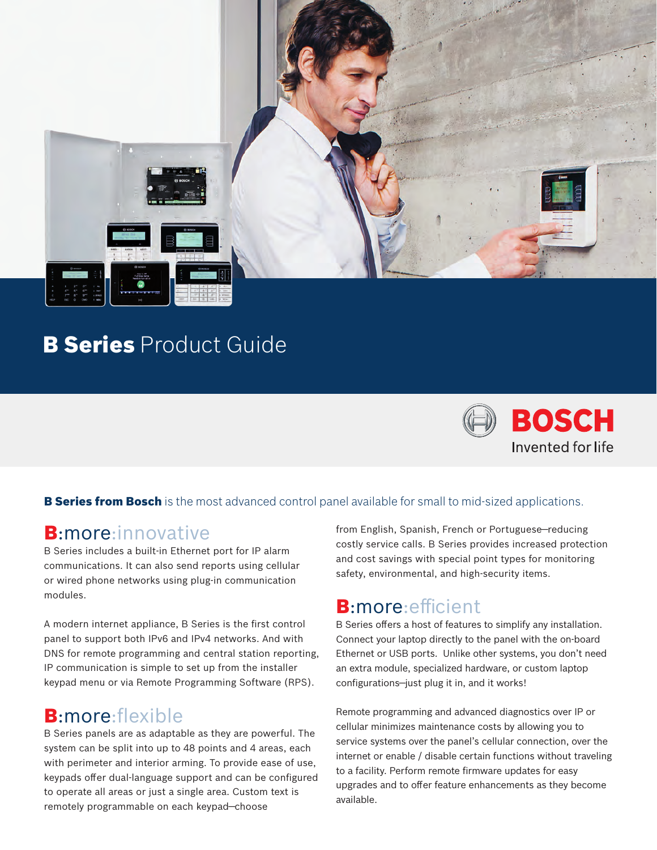

## **B Series** Product Guide



#### **B Series from Bosch** is the most advanced control panel available for small to mid-sized applications.

#### B:more:innovative

B Series includes a built-in Ethernet port for IP alarm communications. It can also send reports using cellular or wired phone networks using plug-in communication modules.

A modern internet appliance, B Series is the first control panel to support both IPv6 and IPv4 networks. And with DNS for remote programming and central station reporting, IP communication is simple to set up from the installer keypad menu or via Remote Programming Software (RPS).

## B:more:flexible

B Series panels are as adaptable as they are powerful. The system can be split into up to 48 points and 4 areas, each with perimeter and interior arming. To provide ease of use, keypads offer dual-language support and can be configured to operate all areas or just a single area. Custom text is remotely programmable on each keypad—choose

from English, Spanish, French or Portuguese—reducing costly service calls. B Series provides increased protection and cost savings with special point types for monitoring safety, environmental, and high-security items.

## B:more:efficient

B Series offers a host of features to simplify any installation. Connect your laptop directly to the panel with the on-board Ethernet or USB ports. Unlike other systems, you don't need an extra module, specialized hardware, or custom laptop configurations—just plug it in, and it works!

Remote programming and advanced diagnostics over IP or cellular minimizes maintenance costs by allowing you to service systems over the panel's cellular connection, over the internet or enable / disable certain functions without traveling to a facility. Perform remote firmware updates for easy upgrades and to offer feature enhancements as they become available.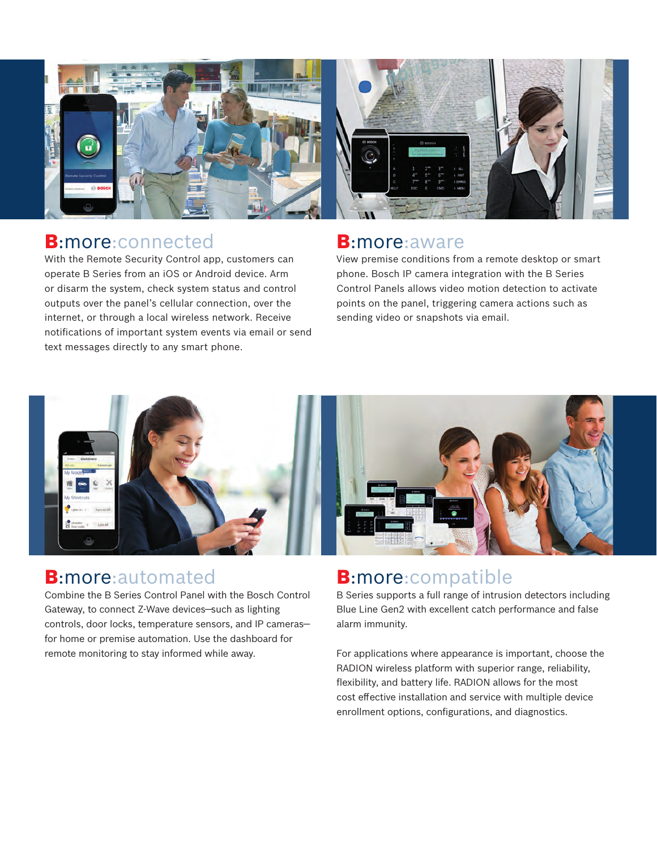

### B:more:connected

With the Remote Security Control app, customers can operate B Series from an iOS or Android device. Arm or disarm the system, check system status and control outputs over the panel's cellular connection, over the internet, or through a local wireless network. Receive notifications of important system events via email or send text messages directly to any smart phone.

#### B:more:aware

View premise conditions from a remote desktop or smart phone. Bosch IP camera integration with the B Series Control Panels allows video motion detection to activate points on the panel, triggering camera actions such as sending video or snapshots via email.



### B:more:automated

Combine the B Series Control Panel with the Bosch Control Gateway, to connect Z-Wave devices—such as lighting controls, door locks, temperature sensors, and IP cameras for home or premise automation. Use the dashboard for remote monitoring to stay informed while away.

## **B:more:compatible**

B Series supports a full range of intrusion detectors including Blue Line Gen2 with excellent catch performance and false alarm immunity.

For applications where appearance is important, choose the RADION wireless platform with superior range, reliability, flexibility, and battery life. RADION allows for the most cost effective installation and service with multiple device enrollment options, configurations, and diagnostics.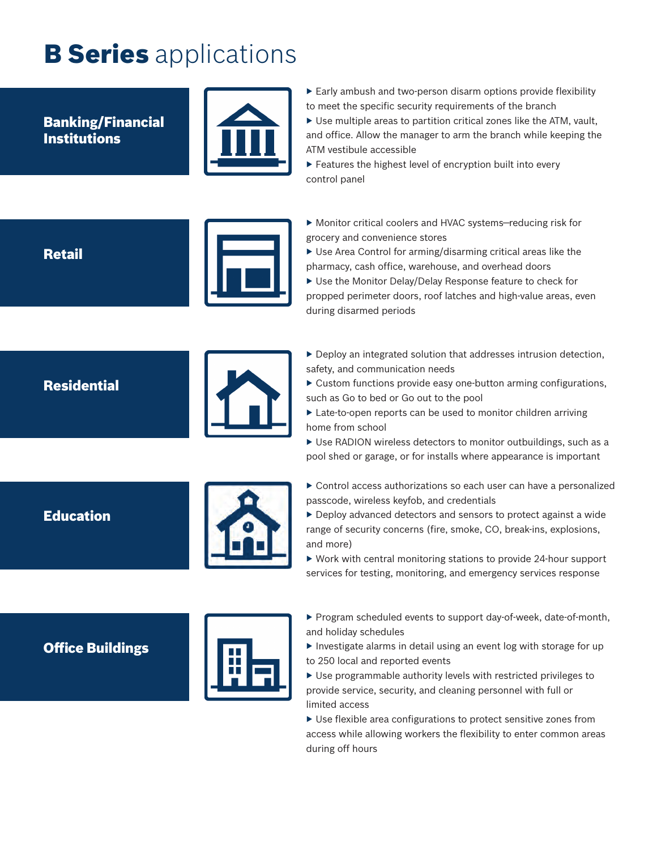# **B Series** applications

Banking/Financial Institutions



▶ Early ambush and two-person disarm options provide flexibility to meet the specific security requirements of the branch  $\triangleright$  Use multiple areas to partition critical zones like the ATM, vault, and office. Allow the manager to arm the branch while keeping the ATM vestibule accessible

▶ Features the highest level of encryption built into every control panel

**Retail** 

▶ Monitor critical coolers and HVAC systems–reducing risk for grocery and convenience stores

▶ Use Area Control for arming/disarming critical areas like the pharmacy, cash office, warehouse, and overhead doors

▶ Use the Monitor Delay/Delay Response feature to check for propped perimeter doors, roof latches and high-value areas, even during disarmed periods

#### **Residential**



▶ Deploy an integrated solution that addresses intrusion detection, safety, and communication needs

- ▶ Custom functions provide easy one-button arming configurations, such as Go to bed or Go out to the pool
- ▶ Late-to-open reports can be used to monitor children arriving home from school

 $\triangleright$  Use RADION wireless detectors to monitor outbuildings, such as a pool shed or garage, or for installs where appearance is important

Education



- ▶ Control access authorizations so each user can have a personalized passcode, wireless keyfob, and credentials
- ▶ Deploy advanced detectors and sensors to protect against a wide range of security concerns (fire, smoke, CO, break-ins, explosions, and more)
- $\triangleright$  Work with central monitoring stations to provide 24-hour support services for testing, monitoring, and emergency services response

Office Buildings



- ▶ Program scheduled events to support day-of-week, date-of-month, and holiday schedules
- $\blacktriangleright$  Investigate alarms in detail using an event log with storage for up to 250 local and reported events

▶ Use programmable authority levels with restricted privileges to provide service, security, and cleaning personnel with full or limited access

 $\triangleright$  Use flexible area configurations to protect sensitive zones from access while allowing workers the flexibility to enter common areas during off hours